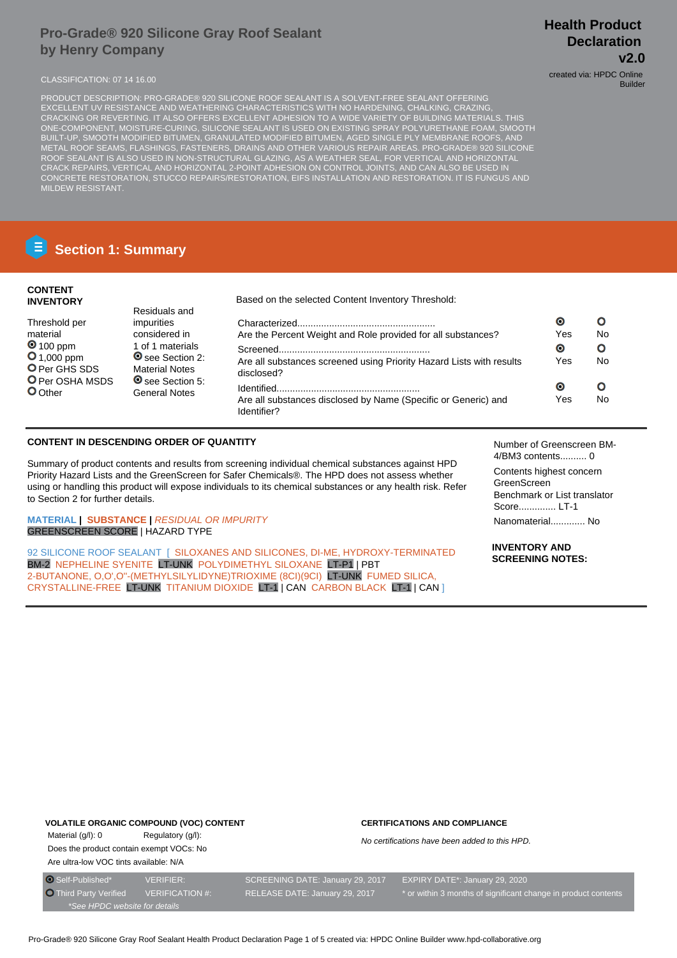## **Pro-Grade® 920 Silicone Gray Roof Sealant by Henry Company**

## **Health Product Declaration v2.0**

CLASSIFICATION: 07 14 16.00 created via: HPDC Online Builder

PRODUCT DESCRIPTION: PRO-GRADE® 920 SILICONE ROOF SEALANT IS A SOLVENT-FREE SEALANT OFFERING EXCELLENT UV RESISTANCE AND WEATHERING CHARACTERISTICS WITH NO HARDENING, CHALKING, CRAZING, CRACKING OR REVERTING. IT ALSO OFFERS EXCELLENT ADHESION TO A WIDE VARIETY OF BUILDING MATERIALS. THIS ONE-COMPONENT, MOISTURE-CURING, SILICONE SEALANT IS USED ON EXISTING SPRAY POLYURETHANE FOAM, SMOOTH BUILT-UP, SMOOTH MODIFIED BITUMEN, GRANULATED MODIFIED BITUMEN, AGED SINGLE PLY MEMBRANE ROOFS, AND METAL ROOF SEAMS, FLASHINGS, FASTENERS, DRAINS AND OTHER VARIOUS REPAIR AREAS. PRO-GRADE® 920 SILICONE ROOF SEALANT IS ALSO USED IN NON-STRUCTURAL GLAZING, AS A WEATHER SEAL, FOR VERTICAL AND HORIZONTAL CRACK REPAIRS, VERTICAL AND HORIZONTAL 2-POINT ADHESION ON CONTROL JOINTS, AND CAN ALSO BE USED IN CONCRETE RESTORATION, STUCCO REPAIRS/RESTORATION, EIFS INSTALLATION AND RESTORATION. IT IS FUNGUS AND MILDEW RESISTANT.

## **Section 1: Summary**

# **CONTENT**

| --------                                   |                                                    |                                                                                    |           |     |  |  |  |
|--------------------------------------------|----------------------------------------------------|------------------------------------------------------------------------------------|-----------|-----|--|--|--|
| <b>INVENTORY</b>                           | Based on the selected Content Inventory Threshold: |                                                                                    |           |     |  |  |  |
|                                            | Residuals and                                      |                                                                                    |           |     |  |  |  |
| Threshold per                              | <i>impurities</i>                                  |                                                                                    | $\bullet$ |     |  |  |  |
| material                                   | considered in                                      | Are the Percent Weight and Role provided for all substances?                       | Yes       | No. |  |  |  |
| $\bullet$ 100 ppm                          | 1 of 1 materials                                   |                                                                                    | $\bullet$ | О   |  |  |  |
| <b>O</b> 1,000 ppm<br><b>O</b> Per GHS SDS | <b>O</b> see Section 2:<br><b>Material Notes</b>   | Are all substances screened using Priority Hazard Lists with results<br>disclosed? | Yes       | No. |  |  |  |
| O Per OSHA MSDS<br>O Other                 | See Section 5:<br>General Notes                    |                                                                                    | $\bullet$ |     |  |  |  |
|                                            |                                                    | Are all substances disclosed by Name (Specific or Generic) and<br>Identifier?      | Yes       | No. |  |  |  |

## **CONTENT IN DESCENDING ORDER OF QUANTITY**

Summary of product contents and results from screening individual chemical substances against HPD Priority Hazard Lists and the GreenScreen for Safer Chemicals®. The HPD does not assess whether using or handling this product will expose individuals to its chemical substances or any health risk. Refer to Section 2 for further details.

**MATERIAL | SUBSTANCE |** RESIDUAL OR IMPURITY GREENSCREEN SCORE | HAZARD TYPE

92 SILICONE ROOF SEALANT | SILOXANES AND SILICONES, DI-ME, HYDROXY-TERMINATED BM-2 NEPHELINE SYENITE LT-UNK POLYDIMETHYL SILOXANE LT-P1 | PBT 2-BUTANONE, O,O',O''-(METHYLSILYLIDYNE)TRIOXIME (8CI)(9CI) LT-UNK FUMED SILICA, CRYSTALLINE-FREE LT-UNK TITANIUM DIOXIDE LT-1 | CAN CARBON BLACK LT-1 | CAN ]

Number of Greenscreen BM-4/BM3 contents.......... 0

Contents highest concern GreenScreen Benchmark or List translator Score.............. LT-1 Nanomaterial............. No

**INVENTORY AND SCREENING NOTES:**

### **VOLATILE ORGANIC COMPOUND (VOC) CONTENT**

Material (g/l): 0 Regulatory (g/l): Does the product contain exempt VOCs: No Are ultra-low VOC tints available: N/A

#### **CERTIFICATIONS AND COMPLIANCE**

No certifications have been added to this HPD.

\*See HPDC website for details

O Self-Published\* VERIFIER: SCREENING DATE: January 29, 2017 EXPIRY DATE\*: January 29, 2020

Third Party Verified VERIFICATION #: RELEASE DATE: January 29, 2017 \* or within 3 months of significant change in product contents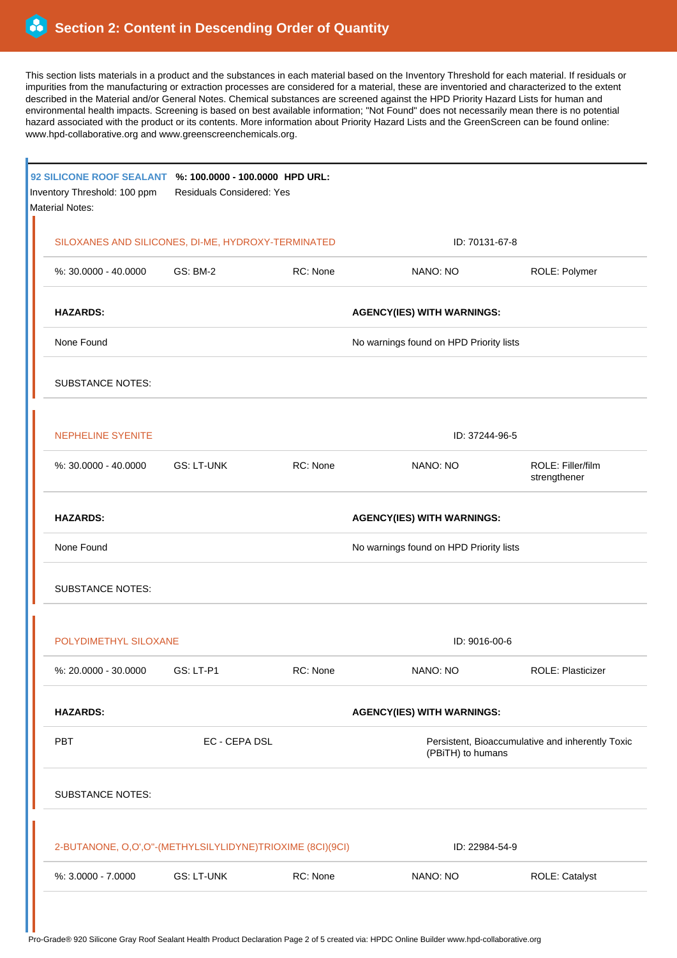ŕ

H.

This section lists materials in a product and the substances in each material based on the Inventory Threshold for each material. If residuals or impurities from the manufacturing or extraction processes are considered for a material, these are inventoried and characterized to the extent described in the Material and/or General Notes. Chemical substances are screened against the HPD Priority Hazard Lists for human and environmental health impacts. Screening is based on best available information; "Not Found" does not necessarily mean there is no potential hazard associated with the product or its contents. More information about Priority Hazard Lists and the GreenScreen can be found online: www.hpd-collaborative.org and www.greenscreenchemicals.org.

| <b>Material Notes:</b> | Inventory Threshold: 100 ppm                              | 92 SILICONE ROOF SEALANT %: 100.0000 - 100.0000 HPD URL:<br>Residuals Considered: Yes |          |                                                                       |                                   |  |
|------------------------|-----------------------------------------------------------|---------------------------------------------------------------------------------------|----------|-----------------------------------------------------------------------|-----------------------------------|--|
|                        | SILOXANES AND SILICONES, DI-ME, HYDROXY-TERMINATED        |                                                                                       |          | ID: 70131-67-8                                                        |                                   |  |
|                        | %: 30.0000 - 40.0000                                      | <b>GS: BM-2</b>                                                                       | RC: None | NANO: NO                                                              | ROLE: Polymer                     |  |
|                        | <b>HAZARDS:</b>                                           |                                                                                       |          | <b>AGENCY(IES) WITH WARNINGS:</b>                                     |                                   |  |
|                        | None Found                                                |                                                                                       |          | No warnings found on HPD Priority lists                               |                                   |  |
|                        | <b>SUBSTANCE NOTES:</b>                                   |                                                                                       |          |                                                                       |                                   |  |
|                        | <b>NEPHELINE SYENITE</b>                                  |                                                                                       |          | ID: 37244-96-5                                                        |                                   |  |
|                        | $%30.0000 - 40.0000$                                      | <b>GS: LT-UNK</b>                                                                     | RC: None | NANO: NO                                                              | ROLE: Filler/film<br>strengthener |  |
|                        | <b>HAZARDS:</b>                                           |                                                                                       |          | <b>AGENCY(IES) WITH WARNINGS:</b>                                     |                                   |  |
|                        | None Found                                                |                                                                                       |          | No warnings found on HPD Priority lists                               |                                   |  |
|                        | <b>SUBSTANCE NOTES:</b>                                   |                                                                                       |          |                                                                       |                                   |  |
|                        | POLYDIMETHYL SILOXANE                                     |                                                                                       |          | ID: 9016-00-6                                                         |                                   |  |
|                        | %: 20.0000 - 30.0000                                      | GS: LT-P1                                                                             | RC: None | NANO: NO                                                              | <b>ROLE: Plasticizer</b>          |  |
|                        | <b>HAZARDS:</b><br><b>AGENCY(IES) WITH WARNINGS:</b>      |                                                                                       |          |                                                                       |                                   |  |
|                        | PBT<br>EC - CEPA DSL                                      |                                                                                       |          | Persistent, Bioaccumulative and inherently Toxic<br>(PBiTH) to humans |                                   |  |
|                        | <b>SUBSTANCE NOTES:</b>                                   |                                                                                       |          |                                                                       |                                   |  |
|                        | 2-BUTANONE, O,O',O"-(METHYLSILYLIDYNE)TRIOXIME (8CI)(9CI) |                                                                                       |          | ID: 22984-54-9                                                        |                                   |  |
|                        | %: 3.0000 - 7.0000                                        | <b>GS: LT-UNK</b>                                                                     | RC: None | NANO: NO                                                              | ROLE: Catalyst                    |  |
|                        |                                                           |                                                                                       |          |                                                                       |                                   |  |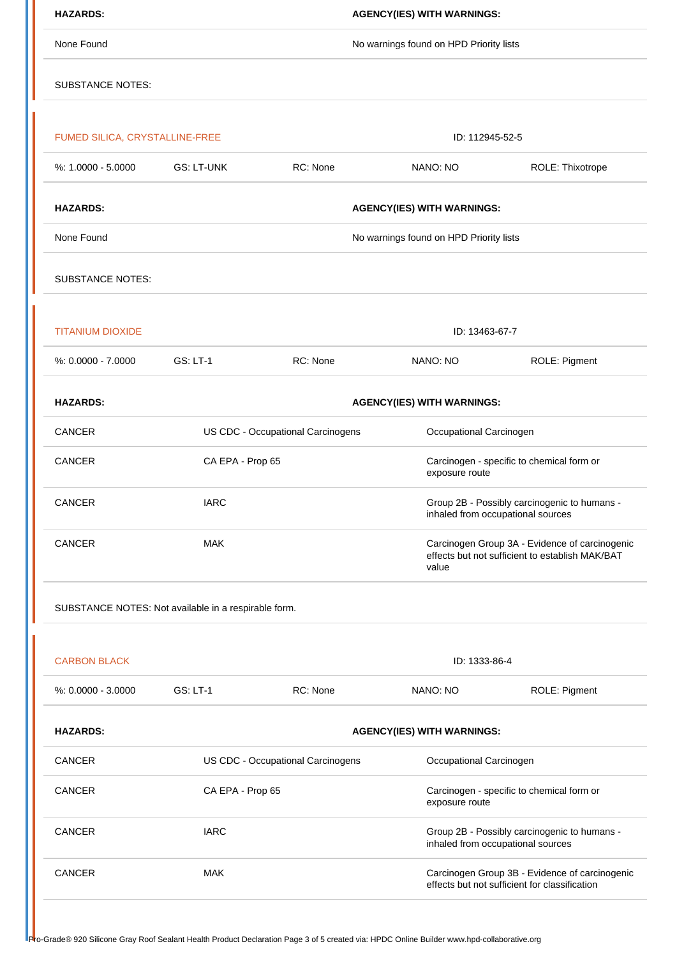| <b>HAZARDS:</b>                |                                                      |                                   | <b>AGENCY(IES) WITH WARNINGS:</b>                                                                          |                                                                                   |  |
|--------------------------------|------------------------------------------------------|-----------------------------------|------------------------------------------------------------------------------------------------------------|-----------------------------------------------------------------------------------|--|
| None Found                     | No warnings found on HPD Priority lists              |                                   |                                                                                                            |                                                                                   |  |
| <b>SUBSTANCE NOTES:</b>        |                                                      |                                   |                                                                                                            |                                                                                   |  |
|                                |                                                      |                                   |                                                                                                            |                                                                                   |  |
| FUMED SILICA, CRYSTALLINE-FREE |                                                      |                                   | ID: 112945-52-5                                                                                            |                                                                                   |  |
| %: 1.0000 - 5.0000             | <b>GS: LT-UNK</b>                                    | RC: None                          | NANO: NO                                                                                                   | ROLE: Thixotrope                                                                  |  |
| <b>HAZARDS:</b>                |                                                      |                                   | <b>AGENCY(IES) WITH WARNINGS:</b>                                                                          |                                                                                   |  |
| None Found                     | No warnings found on HPD Priority lists              |                                   |                                                                                                            |                                                                                   |  |
| <b>SUBSTANCE NOTES:</b>        |                                                      |                                   |                                                                                                            |                                                                                   |  |
| <b>TITANIUM DIOXIDE</b>        |                                                      |                                   | ID: 13463-67-7                                                                                             |                                                                                   |  |
| $%: 0.0000 - 7.0000$           | GS: LT-1                                             | RC: None                          | NANO: NO                                                                                                   | ROLE: Pigment                                                                     |  |
| <b>HAZARDS:</b>                |                                                      |                                   | <b>AGENCY(IES) WITH WARNINGS:</b>                                                                          |                                                                                   |  |
| CANCER                         |                                                      | US CDC - Occupational Carcinogens | Occupational Carcinogen                                                                                    |                                                                                   |  |
| <b>CANCER</b>                  | CA EPA - Prop 65                                     |                                   | Carcinogen - specific to chemical form or<br>exposure route                                                |                                                                                   |  |
| <b>CANCER</b>                  | <b>IARC</b>                                          |                                   | Group 2B - Possibly carcinogenic to humans -<br>inhaled from occupational sources                          |                                                                                   |  |
| <b>CANCER</b>                  | <b>MAK</b>                                           |                                   | Carcinogen Group 3A - Evidence of carcinogenic<br>effects but not sufficient to establish MAK/BAT<br>value |                                                                                   |  |
|                                | SUBSTANCE NOTES: Not available in a respirable form. |                                   |                                                                                                            |                                                                                   |  |
|                                |                                                      |                                   |                                                                                                            |                                                                                   |  |
|                                | ID: 1333-86-4                                        |                                   |                                                                                                            |                                                                                   |  |
| <b>CARBON BLACK</b>            |                                                      |                                   |                                                                                                            |                                                                                   |  |
| %: 0.0000 - 3.0000             | <b>GS: LT-1</b>                                      | RC: None                          | NANO: NO                                                                                                   | ROLE: Pigment                                                                     |  |
| <b>HAZARDS:</b>                |                                                      |                                   | <b>AGENCY(IES) WITH WARNINGS:</b>                                                                          |                                                                                   |  |
| <b>CANCER</b>                  |                                                      | US CDC - Occupational Carcinogens | Occupational Carcinogen                                                                                    |                                                                                   |  |
| <b>CANCER</b>                  | CA EPA - Prop 65                                     |                                   | exposure route                                                                                             | Carcinogen - specific to chemical form or                                         |  |
| <b>CANCER</b>                  | <b>IARC</b>                                          |                                   |                                                                                                            | Group 2B - Possibly carcinogenic to humans -<br>inhaled from occupational sources |  |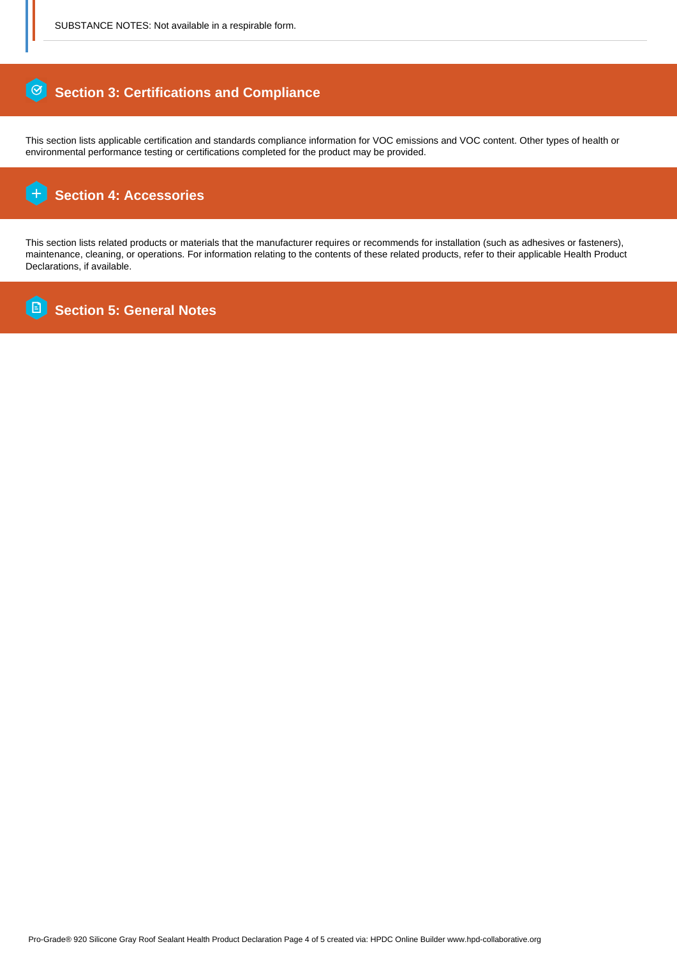#### $\circ$  **Section 3: Certifications and Compliance**

This section lists applicable certification and standards compliance information for VOC emissions and VOC content. Other types of health or environmental performance testing or certifications completed for the product may be provided.

#### ſ+  **Section 4: Accessories**

This section lists related products or materials that the manufacturer requires or recommends for installation (such as adhesives or fasteners), maintenance, cleaning, or operations. For information relating to the contents of these related products, refer to their applicable Health Product Declarations, if available.

Ē  **Section 5: General Notes**